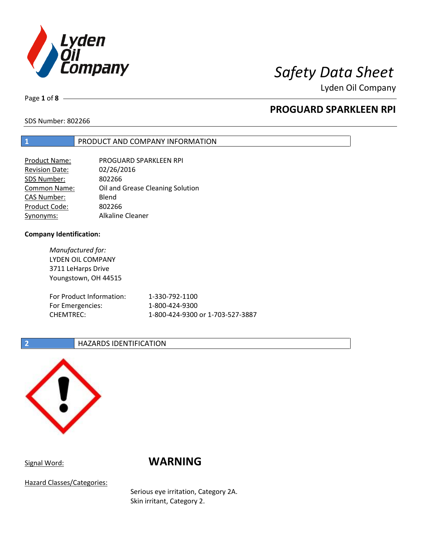

Lyden Oil Company

Page **1** of **8**

# **PROGUARD SPARKLEEN RPI**

SDS Number: 802266

## **1** PRODUCT AND COMPANY INFORMATION

| <b>Product Name:</b>  | PROGUARD SPARKLEEN RPI           |
|-----------------------|----------------------------------|
| <b>Revision Date:</b> | 02/26/2016                       |
| SDS Number:           | 802266                           |
| <b>Common Name:</b>   | Oil and Grease Cleaning Solution |
| <b>CAS Number:</b>    | Blend                            |
| Product Code:         | 802266                           |
| Synonyms:             | Alkaline Cleaner                 |

### **Company Identification:**

*Manufactured for:* LYDEN OIL COMPANY 3711 LeHarps Drive Youngstown, OH 44515 For Product Information: 1-330-792-1100 For Emergencies: 1-800-424-9300 CHEMTREC: 1-800-424-9300 or 1-703-527-3887

## **2 HAZARDS IDENTIFICATION**



# Signal Word: **WARNING**

Hazard Classes/Categories:

Serious eye irritation, Category 2A. Skin irritant, Category 2.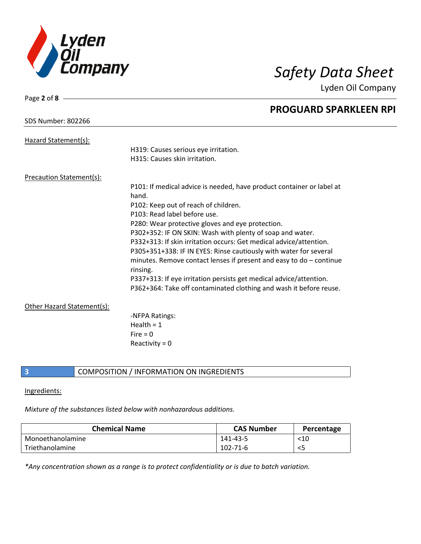

Lyden Oil Company

| Page 2 of $8 -$            |                                                                                   |
|----------------------------|-----------------------------------------------------------------------------------|
|                            | <b>PROGUARD SPARKLEEN RPI</b>                                                     |
| <b>SDS Number: 802266</b>  |                                                                                   |
| Hazard Statement(s):       |                                                                                   |
|                            | H319: Causes serious eye irritation.                                              |
|                            | H315: Causes skin irritation.                                                     |
| Precaution Statement(s):   |                                                                                   |
|                            | P101: If medical advice is needed, have product container or label at             |
|                            | hand.                                                                             |
|                            | P102: Keep out of reach of children.                                              |
|                            | P103: Read label before use.                                                      |
|                            | P280: Wear protective gloves and eye protection.                                  |
|                            | P302+352: IF ON SKIN: Wash with plenty of soap and water.                         |
|                            | P332+313: If skin irritation occurs: Get medical advice/attention.                |
|                            | P305+351+338: IF IN EYES: Rinse cautiously with water for several                 |
|                            | minutes. Remove contact lenses if present and easy to $do$ - continue<br>rinsing. |
|                            | P337+313: If eye irritation persists get medical advice/attention.                |
|                            | P362+364: Take off contaminated clothing and wash it before reuse.                |
| Other Hazard Statement(s): |                                                                                   |
|                            | -NFPA Ratings:                                                                    |
|                            | Health = $1$                                                                      |
|                            | Fire $= 0$                                                                        |
|                            | Reactivity = $0$                                                                  |
|                            |                                                                                   |

## **3** COMPOSITION / INFORMATION ON INGREDIENTS

## Ingredients:

# *Mixture of the substances listed below with nonhazardous additions.*

| <b>Chemical Name</b> | <b>CAS Number</b> | Percentage |
|----------------------|-------------------|------------|
| Monoethanolamine     | 141-43-5          | $<$ 10     |
| Triethanolamine      | 102-71-6          | <5         |

*\*Any concentration shown as a range is to protect confidentiality or is due to batch variation.*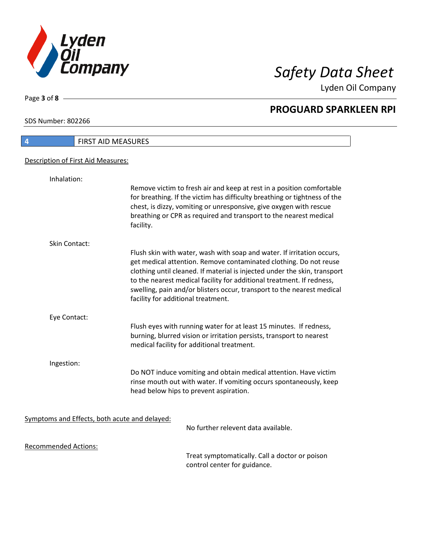

Lyden Oil Company

SDS Number: 802266

Page **3** of **8**

| <b>FIRST AID MEASURES</b><br>4                |                                                                                                                                                                                                                                                                                                                                                                                                                   |
|-----------------------------------------------|-------------------------------------------------------------------------------------------------------------------------------------------------------------------------------------------------------------------------------------------------------------------------------------------------------------------------------------------------------------------------------------------------------------------|
| Description of First Aid Measures:            |                                                                                                                                                                                                                                                                                                                                                                                                                   |
| Inhalation:                                   |                                                                                                                                                                                                                                                                                                                                                                                                                   |
|                                               | Remove victim to fresh air and keep at rest in a position comfortable<br>for breathing. If the victim has difficulty breathing or tightness of the<br>chest, is dizzy, vomiting or unresponsive, give oxygen with rescue<br>breathing or CPR as required and transport to the nearest medical<br>facility.                                                                                                        |
| Skin Contact:                                 |                                                                                                                                                                                                                                                                                                                                                                                                                   |
|                                               | Flush skin with water, wash with soap and water. If irritation occurs,<br>get medical attention. Remove contaminated clothing. Do not reuse<br>clothing until cleaned. If material is injected under the skin, transport<br>to the nearest medical facility for additional treatment. If redness,<br>swelling, pain and/or blisters occur, transport to the nearest medical<br>facility for additional treatment. |
| Eye Contact:                                  |                                                                                                                                                                                                                                                                                                                                                                                                                   |
|                                               | Flush eyes with running water for at least 15 minutes. If redness,<br>burning, blurred vision or irritation persists, transport to nearest<br>medical facility for additional treatment.                                                                                                                                                                                                                          |
| Ingestion:                                    |                                                                                                                                                                                                                                                                                                                                                                                                                   |
|                                               | Do NOT induce vomiting and obtain medical attention. Have victim<br>rinse mouth out with water. If vomiting occurs spontaneously, keep<br>head below hips to prevent aspiration.                                                                                                                                                                                                                                  |
| Symptoms and Effects, both acute and delayed: |                                                                                                                                                                                                                                                                                                                                                                                                                   |
|                                               | No further relevent data available.                                                                                                                                                                                                                                                                                                                                                                               |
| <b>Recommended Actions:</b>                   |                                                                                                                                                                                                                                                                                                                                                                                                                   |
|                                               | Treat symptomatically, Call a doctor or poison                                                                                                                                                                                                                                                                                                                                                                    |

Treat symptomatically. Call a doctor or poison control center for guidance.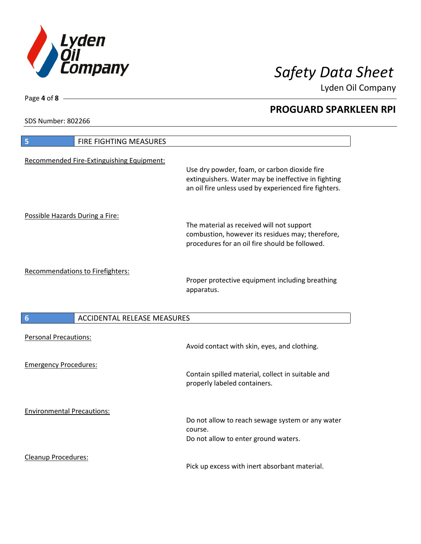

Lyden Oil Company

SDS Number: 802266

Cleanup Procedures:

| <b>FIRE FIGHTING MEASURES</b><br>5                    |                                                                                                                                                              |
|-------------------------------------------------------|--------------------------------------------------------------------------------------------------------------------------------------------------------------|
| Recommended Fire-Extinguishing Equipment:             | Use dry powder, foam, or carbon dioxide fire<br>extinguishers. Water may be ineffective in fighting<br>an oil fire unless used by experienced fire fighters. |
| Possible Hazards During a Fire:                       | The material as received will not support<br>combustion, however its residues may; therefore,<br>procedures for an oil fire should be followed.              |
| Recommendations to Firefighters:                      | Proper protective equipment including breathing<br>apparatus.                                                                                                |
|                                                       |                                                                                                                                                              |
| <b>ACCIDENTAL RELEASE MEASURES</b><br>$6\phantom{1}6$ |                                                                                                                                                              |
| <b>Personal Precautions:</b>                          | Avoid contact with skin, eyes, and clothing.                                                                                                                 |
| <b>Emergency Procedures:</b>                          | Contain spilled material, collect in suitable and<br>properly labeled containers.                                                                            |

Pick up excess with inert absorbant material.

Page **4** of **8**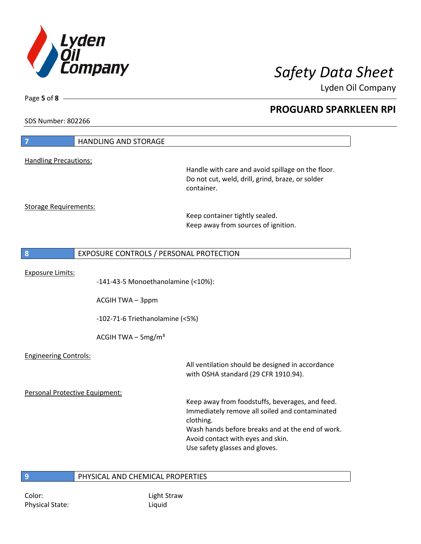

Lyden Oil Company

SDS Number: 802266

Page **5** of **8**

| $\overline{7}$                 | <b>HANDLING AND STORAGE</b>                                 |                                                                                                                                                                                                                                           |
|--------------------------------|-------------------------------------------------------------|-------------------------------------------------------------------------------------------------------------------------------------------------------------------------------------------------------------------------------------------|
| <b>Handling Precautions:</b>   |                                                             |                                                                                                                                                                                                                                           |
|                                |                                                             | Handle with care and avoid spillage on the floor.<br>Do not cut, weld, drill, grind, braze, or solder<br>container.                                                                                                                       |
| <b>Storage Requirements:</b>   |                                                             | Keep container tightly sealed.<br>Keep away from sources of ignition.                                                                                                                                                                     |
| 8                              | EXPOSURE CONTROLS / PERSONAL PROTECTION                     |                                                                                                                                                                                                                                           |
| <b>Exposure Limits:</b>        | -141-43-5 Monoethanolamine (<10%):<br><b>ACGIH TWA-3ppm</b> |                                                                                                                                                                                                                                           |
|                                | -102-71-6 Triethanolamine (<5%)                             |                                                                                                                                                                                                                                           |
|                                | ACGIH TWA $-$ 5mg/m <sup>3</sup>                            |                                                                                                                                                                                                                                           |
| <b>Engineering Controls:</b>   |                                                             | All ventilation should be designed in accordance<br>with OSHA standard (29 CFR 1910.94).                                                                                                                                                  |
| Personal Protective Equipment: |                                                             |                                                                                                                                                                                                                                           |
|                                |                                                             | Keep away from foodstuffs, beverages, and feed.<br>Immediately remove all soiled and contaminated<br>clothing.<br>Wash hands before breaks and at the end of work.<br>Avoid contact with eyes and skin.<br>Use safety glasses and gloves. |
| 9                              | PHYSICAL AND CHEMICAL PROPERTIES                            |                                                                                                                                                                                                                                           |

Color: Light Straw Physical State: Liquid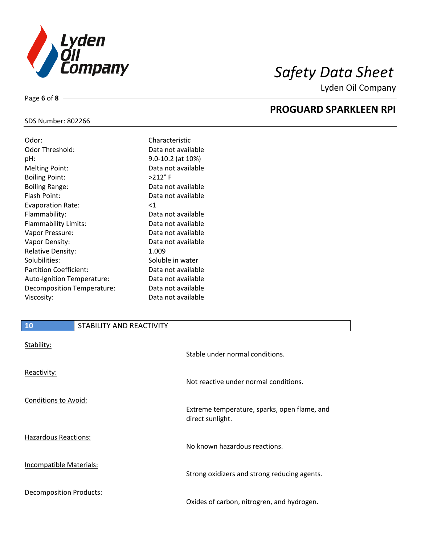

Page **6** of **8**

**PROGUARD SPARKLEEN RPI**

Lyden Oil Company

## SDS Number: 802266

| Odor:                         | Characteristic     |
|-------------------------------|--------------------|
| Odor Threshold:               | Data not available |
| pH:                           | 9.0-10.2 (at 10%)  |
| <b>Melting Point:</b>         | Data not available |
| <b>Boiling Point:</b>         | $>212$ °F          |
| <b>Boiling Range:</b>         | Data not available |
| Flash Point:                  | Data not available |
| <b>Evaporation Rate:</b>      | <1                 |
| Flammability:                 | Data not available |
| <b>Flammability Limits:</b>   | Data not available |
| Vapor Pressure:               | Data not available |
| Vapor Density:                | Data not available |
| <b>Relative Density:</b>      | 1.009              |
| Solubilities:                 | Soluble in water   |
| <b>Partition Coefficient:</b> | Data not available |
| Auto-Ignition Temperature:    | Data not available |
| Decomposition Temperature:    | Data not available |
| Viscosity:                    | Data not available |

# **10** STABILITY AND REACTIVITY

| Stability:                     | Stable under normal conditions.                                  |
|--------------------------------|------------------------------------------------------------------|
| Reactivity:                    | Not reactive under normal conditions.                            |
| Conditions to Avoid:           | Extreme temperature, sparks, open flame, and<br>direct sunlight. |
| <b>Hazardous Reactions:</b>    | No known hazardous reactions.                                    |
| <b>Incompatible Materials:</b> | Strong oxidizers and strong reducing agents.                     |
| <b>Decomposition Products:</b> | Oxides of carbon, nitrogren, and hydrogen.                       |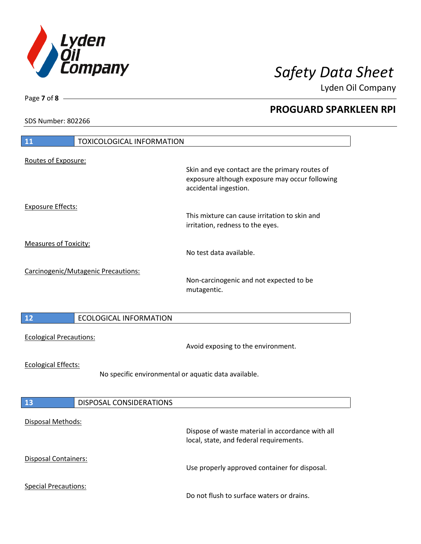

Lyden Oil Company

SDS Number: 802266

| <b>11</b><br><b>TOXICOLOGICAL INFORMATION</b>                                      |                                                                                                                           |
|------------------------------------------------------------------------------------|---------------------------------------------------------------------------------------------------------------------------|
| Routes of Exposure:                                                                | Skin and eye contact are the primary routes of<br>exposure although exposure may occur following<br>accidental ingestion. |
| <b>Exposure Effects:</b>                                                           | This mixture can cause irritation to skin and<br>irritation, redness to the eyes.                                         |
| <b>Measures of Toxicity:</b>                                                       | No test data available.                                                                                                   |
| Carcinogenic/Mutagenic Precautions:                                                | Non-carcinogenic and not expected to be<br>mutagentic.                                                                    |
| 12<br><b>ECOLOGICAL INFORMATION</b>                                                |                                                                                                                           |
| <b>Ecological Precautions:</b>                                                     | Avoid exposing to the environment.                                                                                        |
| <b>Ecological Effects:</b><br>No specific environmental or aquatic data available. |                                                                                                                           |
| 13<br>DISPOSAL CONSIDERATIONS                                                      |                                                                                                                           |
| <b>Disposal Methods:</b>                                                           | Dispose of waste material in accordance with all<br>local, state, and federal requirements.                               |
| <b>Disposal Containers:</b>                                                        | Use properly approved container for disposal.                                                                             |
| <b>Special Precautions:</b>                                                        | Do not flush to surface waters or drains.                                                                                 |

Page **7** of **8**